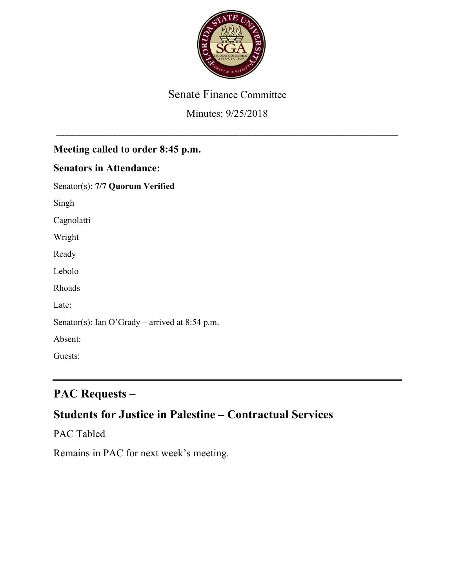

#### Senate Finance Committee

#### Minutes: 9/25/2018

\_\_\_\_\_\_\_\_\_\_\_\_\_\_\_\_\_\_\_\_\_\_\_\_\_\_\_\_\_\_\_\_\_\_\_\_\_\_\_\_\_\_\_\_\_\_\_\_\_\_\_\_\_\_\_\_\_\_\_\_\_\_\_\_\_\_\_\_\_\_\_\_\_\_\_\_\_\_\_\_\_\_\_\_

### **Meeting called to order 8:45 p.m.**

#### **Senators in Attendance:**

Senator(s): **7/7 Quorum Verified**

Singh

Cagnolatti

Wright

Ready

Lebolo

Rhoads

Late:

Senator(s): Ian O'Grady – arrived at 8:54 p.m.

Absent:

Guests:

# **PAC Requests –**

## **Students for Justice in Palestine – Contractual Services**

PAC Tabled

Remains in PAC for next week's meeting.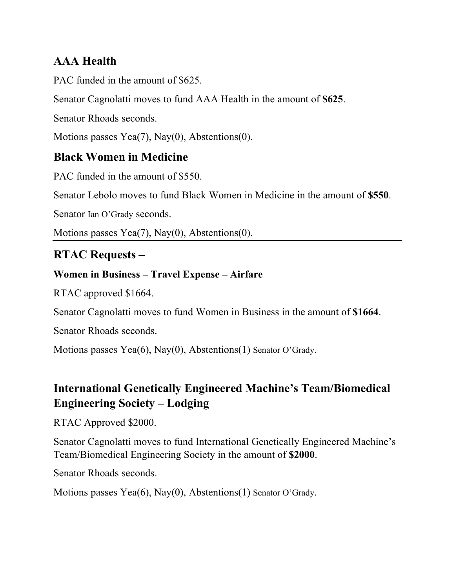# **AAA Health**

PAC funded in the amount of \$625.

Senator Cagnolatti moves to fund AAA Health in the amount of **\$625**.

Senator Rhoads seconds.

Motions passes Yea(7), Nay(0), Abstentions(0).

## **Black Women in Medicine**

PAC funded in the amount of \$550.

Senator Lebolo moves to fund Black Women in Medicine in the amount of **\$550**.

Senator Ian O'Grady seconds.

Motions passes Yea(7), Nay(0), Abstentions(0).

## **RTAC Requests –**

### **Women in Business – Travel Expense – Airfare**

RTAC approved \$1664.

Senator Cagnolatti moves to fund Women in Business in the amount of **\$1664**.

Senator Rhoads seconds.

Motions passes Yea(6), Nay(0), Abstentions(1) Senator O'Grady.

# **International Genetically Engineered Machine's Team/Biomedical Engineering Society – Lodging**

RTAC Approved \$2000.

Senator Cagnolatti moves to fund International Genetically Engineered Machine's Team/Biomedical Engineering Society in the amount of **\$2000**.

Senator Rhoads seconds.

Motions passes Yea(6), Nay(0), Abstentions(1) Senator O'Grady.